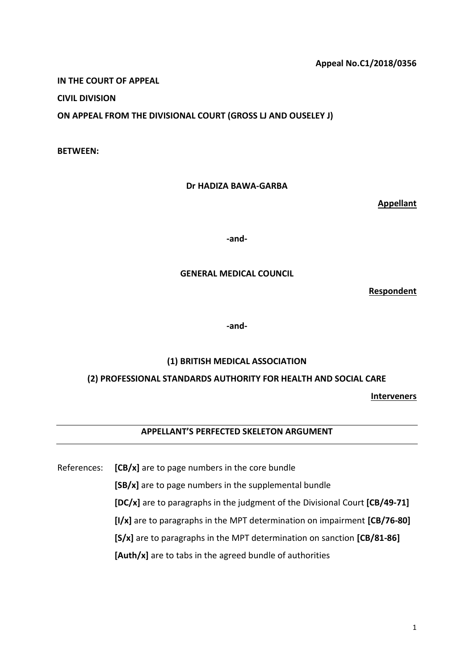# **Appeal No.C1/2018/0356**

**IN THE COURT OF APPEAL**

**CIVIL DIVISION**

**ON APPEAL FROM THE DIVISIONAL COURT (GROSS LJ AND OUSELEY J)**

**BETWEEN:**

### **Dr HADIZA BAWA-GARBA**

**Appellant**

**-and-**

#### **GENERAL MEDICAL COUNCIL**

**Respondent**

**-and-**

# **(1) BRITISH MEDICAL ASSOCIATION**

# **(2) PROFESSIONAL STANDARDS AUTHORITY FOR HEALTH AND SOCIAL CARE**

**Interveners**

# **APPELLANT'S PERFECTED SKELETON ARGUMENT**

References: **[CB/x]** are to page numbers in the core bundle

**[SB/x]** are to page numbers in the supplemental bundle

**[DC/x]** are to paragraphs in the judgment of the Divisional Court **[CB/49-71]**

**[I/x]** are to paragraphs in the MPT determination on impairment **[CB/76-80]**

**[S/x]** are to paragraphs in the MPT determination on sanction **[CB/81-86]**

**[Auth/x]** are to tabs in the agreed bundle of authorities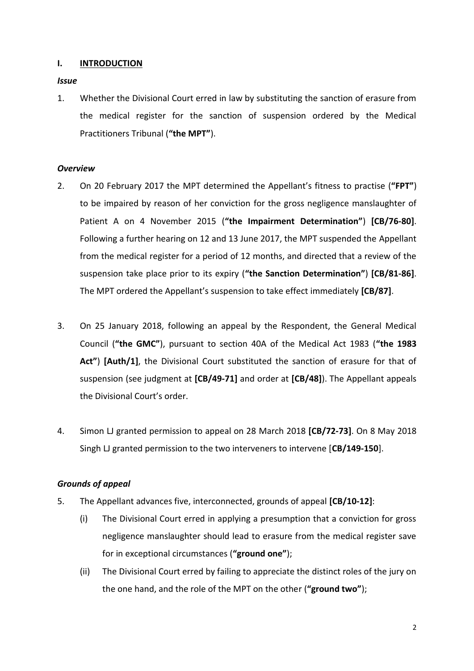# **I. INTRODUCTION**

*Issue*

1. Whether the Divisional Court erred in law by substituting the sanction of erasure from the medical register for the sanction of suspension ordered by the Medical Practitioners Tribunal (**"the MPT"**).

#### *Overview*

- 2. On 20 February 2017 the MPT determined the Appellant's fitness to practise (**"FPT"**) to be impaired by reason of her conviction for the gross negligence manslaughter of Patient A on 4 November 2015 (**"the Impairment Determination"**) **[CB/76-80]**. Following a further hearing on 12 and 13 June 2017, the MPT suspended the Appellant from the medical register for a period of 12 months, and directed that a review of the suspension take place prior to its expiry (**"the Sanction Determination"**) **[CB/81-86]**. The MPT ordered the Appellant's suspension to take effect immediately **[CB/87]**.
- 3. On 25 January 2018, following an appeal by the Respondent, the General Medical Council (**"the GMC"**), pursuant to section 40A of the Medical Act 1983 (**"the 1983 Act"**) **[Auth/1]**, the Divisional Court substituted the sanction of erasure for that of suspension (see judgment at **[CB/49-71]** and order at **[CB/48]**). The Appellant appeals the Divisional Court's order.
- 4. Simon LJ granted permission to appeal on 28 March 2018 **[CB/72-73]**. On 8 May 2018 Singh LJ granted permission to the two interveners to intervene [**CB/149-150**].

# *Grounds of appeal*

- 5. The Appellant advances five, interconnected, grounds of appeal **[CB/10-12]**:
	- (i) The Divisional Court erred in applying a presumption that a conviction for gross negligence manslaughter should lead to erasure from the medical register save for in exceptional circumstances (**"ground one"**);
	- (ii) The Divisional Court erred by failing to appreciate the distinct roles of the jury on the one hand, and the role of the MPT on the other (**"ground two"**);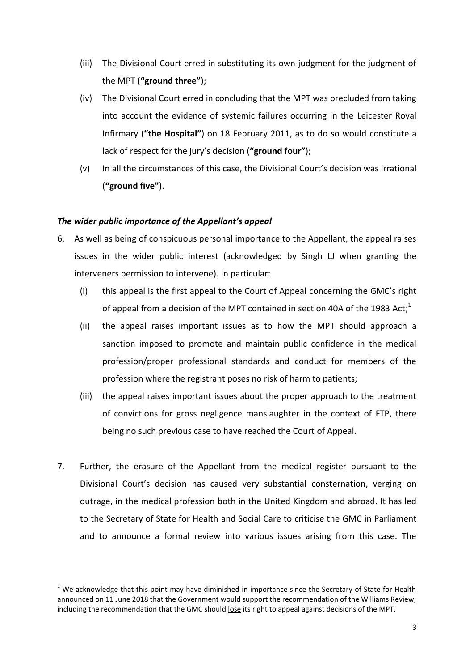- (iii) The Divisional Court erred in substituting its own judgment for the judgment of the MPT (**"ground three"**);
- (iv) The Divisional Court erred in concluding that the MPT was precluded from taking into account the evidence of systemic failures occurring in the Leicester Royal Infirmary (**"the Hospital"**) on 18 February 2011, as to do so would constitute a lack of respect for the jury's decision (**"ground four"**);
- (v) In all the circumstances of this case, the Divisional Court's decision was irrational (**"ground five"**).

# *The wider public importance of the Appellant's appeal*

**.** 

- 6. As well as being of conspicuous personal importance to the Appellant, the appeal raises issues in the wider public interest (acknowledged by Singh LJ when granting the interveners permission to intervene). In particular:
	- (i) this appeal is the first appeal to the Court of Appeal concerning the GMC's right of appeal from a decision of the MPT contained in section 40A of the 1983 Act;<sup>1</sup>
	- (ii) the appeal raises important issues as to how the MPT should approach a sanction imposed to promote and maintain public confidence in the medical profession/proper professional standards and conduct for members of the profession where the registrant poses no risk of harm to patients;
	- (iii) the appeal raises important issues about the proper approach to the treatment of convictions for gross negligence manslaughter in the context of FTP, there being no such previous case to have reached the Court of Appeal.
- 7. Further, the erasure of the Appellant from the medical register pursuant to the Divisional Court's decision has caused very substantial consternation, verging on outrage, in the medical profession both in the United Kingdom and abroad. It has led to the Secretary of State for Health and Social Care to criticise the GMC in Parliament and to announce a formal review into various issues arising from this case. The

 $1$  We acknowledge that this point may have diminished in importance since the Secretary of State for Health announced on 11 June 2018 that the Government would support the recommendation of the Williams Review, including the recommendation that the GMC should lose its right to appeal against decisions of the MPT.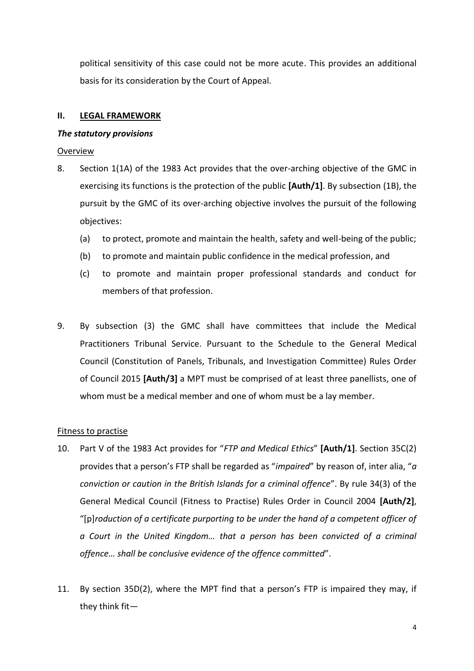political sensitivity of this case could not be more acute. This provides an additional basis for its consideration by the Court of Appeal.

# **II. LEGAL FRAMEWORK**

#### *The statutory provisions*

### Overview

- 8. Section 1(1A) of the 1983 Act provides that the over-arching objective of the GMC in exercising its functions is the protection of the public **[Auth/1]**. By subsection (1B), the pursuit by the GMC of its over-arching objective involves the pursuit of the following objectives:
	- (a) to protect, promote and maintain the health, safety and well-being of the public;
	- (b) to promote and maintain public confidence in the medical profession, and
	- (c) to promote and maintain proper professional standards and conduct for members of that profession.
- 9. By subsection (3) the GMC shall have committees that include the Medical Practitioners Tribunal Service. Pursuant to the Schedule to the General Medical Council (Constitution of Panels, Tribunals, and Investigation Committee) Rules Order of Council 2015 **[Auth/3]** a MPT must be comprised of at least three panellists, one of whom must be a medical member and one of whom must be a lay member.

# Fitness to practise

- 10. Part V of the 1983 Act provides for "*FTP and Medical Ethics*" **[Auth/1]**. Section 35C(2) provides that a person's FTP shall be regarded as "*impaired*" by reason of, inter alia, "*a conviction or caution in the British Islands for a criminal offence*". By rule 34(3) of the General Medical Council (Fitness to Practise) Rules Order in Council 2004 **[Auth/2]**, "[p]*roduction of a certificate purporting to be under the hand of a competent officer of a Court in the United Kingdom… that a person has been convicted of a criminal offence… shall be conclusive evidence of the offence committed*".
- 11. By section 35D(2), where the MPT find that a person's FTP is impaired they may, if they think fit—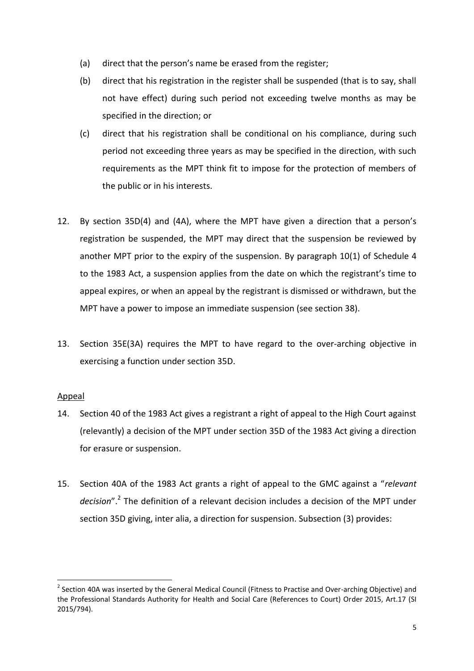- (a) direct that the person's name be erased from the register;
- (b) direct that his registration in the register shall be suspended (that is to say, shall not have effect) during such period not exceeding twelve months as may be specified in the direction; or
- (c) direct that his registration shall be conditional on his compliance, during such period not exceeding three years as may be specified in the direction, with such requirements as the MPT think fit to impose for the protection of members of the public or in his interests.
- 12. By section 35D(4) and (4A), where the MPT have given a direction that a person's registration be suspended, the MPT may direct that the suspension be reviewed by another MPT prior to the expiry of the suspension. By paragraph 10(1) of Schedule 4 to the 1983 Act, a suspension applies from the date on which the registrant's time to appeal expires, or when an appeal by the registrant is dismissed or withdrawn, but the MPT have a power to impose an immediate suspension (see section 38).
- 13. Section 35E(3A) requires the MPT to have regard to the over-arching objective in exercising a function under section 35D.

# Appeal

**.** 

- 14. Section 40 of the 1983 Act gives a registrant a right of appeal to the High Court against (relevantly) a decision of the MPT under section 35D of the 1983 Act giving a direction for erasure or suspension.
- 15. Section 40A of the 1983 Act grants a right of appeal to the GMC against a "*relevant*  decision".<sup>2</sup> The definition of a relevant decision includes a decision of the MPT under section 35D giving, inter alia, a direction for suspension. Subsection (3) provides:

<sup>&</sup>lt;sup>2</sup> Section 40A was inserted by the General Medical Council (Fitness to Practise and Over-arching Objective) and the Professional Standards Authority for Health and Social Care (References to Court) Order 2015, Art.17 (SI 2015/794).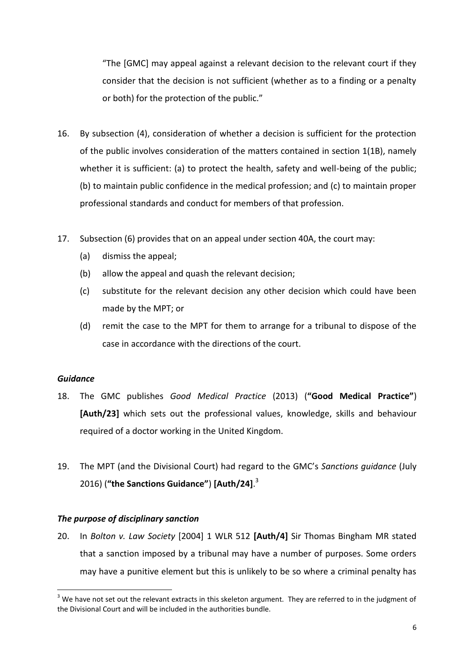"The [GMC] may appeal against a relevant decision to the relevant court if they consider that the decision is not sufficient (whether as to a finding or a penalty or both) for the protection of the public."

- 16. By subsection (4), consideration of whether a decision is sufficient for the protection of the public involves consideration of the matters contained in section 1(1B), namely whether it is sufficient: (a) to protect the health, safety and well-being of the public; (b) to maintain public confidence in the medical profession; and (c) to maintain proper professional standards and conduct for members of that profession.
- 17. Subsection (6) provides that on an appeal under section 40A, the court may:
	- (a) dismiss the appeal;
	- (b) allow the appeal and quash the relevant decision;
	- (c) substitute for the relevant decision any other decision which could have been made by the MPT; or
	- (d) remit the case to the MPT for them to arrange for a tribunal to dispose of the case in accordance with the directions of the court.

# *Guidance*

**.** 

- 18. The GMC publishes *Good Medical Practice* (2013) (**"Good Medical Practice"**) **[Auth/23]** which sets out the professional values, knowledge, skills and behaviour required of a doctor working in the United Kingdom.
- 19. The MPT (and the Divisional Court) had regard to the GMC's *Sanctions guidance* (July 2016) (**"the Sanctions Guidance"**) **[Auth/24]**. 3

# *The purpose of disciplinary sanction*

20. In *Bolton v. Law Society* [2004] 1 WLR 512 **[Auth/4]** Sir Thomas Bingham MR stated that a sanction imposed by a tribunal may have a number of purposes. Some orders may have a punitive element but this is unlikely to be so where a criminal penalty has

 $3$  We have not set out the relevant extracts in this skeleton argument. They are referred to in the judgment of the Divisional Court and will be included in the authorities bundle.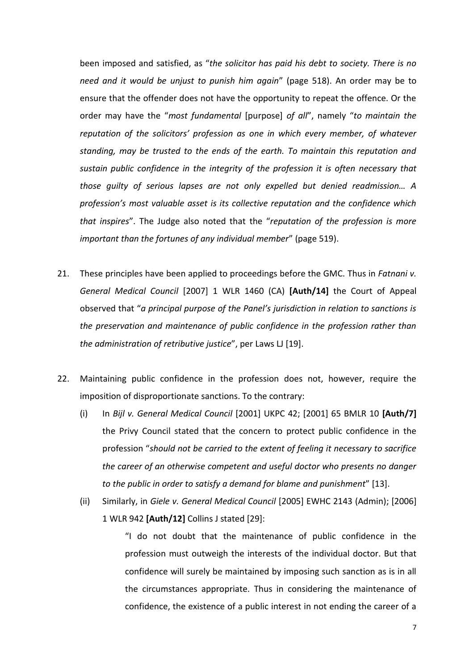been imposed and satisfied, as "*the solicitor has paid his debt to society. There is no need and it would be unjust to punish him again*" (page 518). An order may be to ensure that the offender does not have the opportunity to repeat the offence. Or the order may have the "*most fundamental* [purpose] *of all*", namely "*to maintain the reputation of the solicitors' profession as one in which every member, of whatever standing, may be trusted to the ends of the earth. To maintain this reputation and sustain public confidence in the integrity of the profession it is often necessary that those guilty of serious lapses are not only expelled but denied readmission… A profession's most valuable asset is its collective reputation and the confidence which that inspires*". The Judge also noted that the "*reputation of the profession is more important than the fortunes of any individual member*" (page 519).

- 21. These principles have been applied to proceedings before the GMC. Thus in *Fatnani v. General Medical Council* [2007] 1 WLR 1460 (CA) **[Auth/14]** the Court of Appeal observed that "*a principal purpose of the Panel's jurisdiction in relation to sanctions is the preservation and maintenance of public confidence in the profession rather than the administration of retributive justice*", per Laws LJ [19].
- 22. Maintaining public confidence in the profession does not, however, require the imposition of disproportionate sanctions. To the contrary:
	- (i) In *Bijl v. General Medical Council* [2001] UKPC 42; [2001] 65 BMLR 10 **[Auth/7]** the Privy Council stated that the concern to protect public confidence in the profession "*should not be carried to the extent of feeling it necessary to sacrifice the career of an otherwise competent and useful doctor who presents no danger to the public in order to satisfy a demand for blame and punishment*" [13].
	- (ii) Similarly, in *Giele v. General Medical Council* [2005] EWHC 2143 (Admin); [2006] 1 WLR 942 **[Auth/12]** Collins J stated [29]:

"I do not doubt that the maintenance of public confidence in the profession must outweigh the interests of the individual doctor. But that confidence will surely be maintained by imposing such sanction as is in all the circumstances appropriate. Thus in considering the maintenance of confidence, the existence of a public interest in not ending the career of a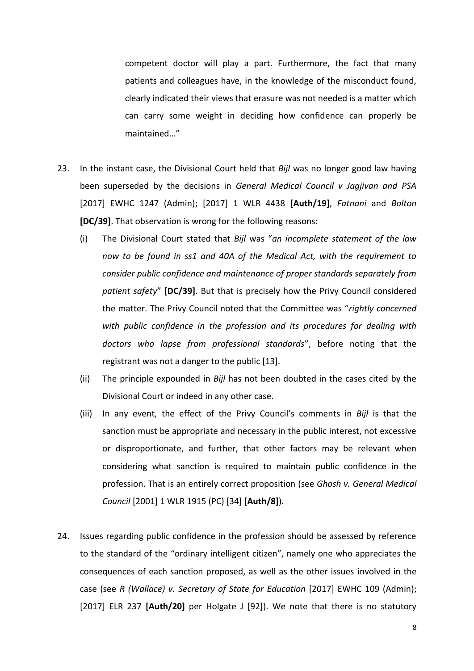competent doctor will play a part. Furthermore, the fact that many patients and colleagues have, in the knowledge of the misconduct found, clearly indicated their views that erasure was not needed is a matter which can carry some weight in deciding how confidence can properly be maintained…"

- 23. In the instant case, the Divisional Court held that *Bijl* was no longer good law having been superseded by the decisions in *General Medical Council v Jagjivan and PSA* [2017] EWHC 1247 (Admin); [2017] 1 WLR 4438 **[Auth/19]**, *Fatnani* and *Bolton* **[DC/39]**. That observation is wrong for the following reasons:
	- (i) The Divisional Court stated that *Bijl* was "*an incomplete statement of the law now to be found in ss1 and 40A of the Medical Act, with the requirement to consider public confidence and maintenance of proper standards separately from patient safety*" **[DC/39]**. But that is precisely how the Privy Council considered the matter. The Privy Council noted that the Committee was "*rightly concerned with public confidence in the profession and its procedures for dealing with doctors who lapse from professional standards*", before noting that the registrant was not a danger to the public [13].
	- (ii) The principle expounded in *Bijl* has not been doubted in the cases cited by the Divisional Court or indeed in any other case.
	- (iii) In any event, the effect of the Privy Council's comments in *Bijl* is that the sanction must be appropriate and necessary in the public interest, not excessive or disproportionate, and further, that other factors may be relevant when considering what sanction is required to maintain public confidence in the profession. That is an entirely correct proposition (see *Ghosh v. General Medical Council* [2001] 1 WLR 1915 (PC) [34] **[Auth/8]**).
- 24. Issues regarding public confidence in the profession should be assessed by reference to the standard of the "ordinary intelligent citizen", namely one who appreciates the consequences of each sanction proposed, as well as the other issues involved in the case (see *R (Wallace) v. Secretary of State for Education* [2017] EWHC 109 (Admin); [2017] ELR 237 **[Auth/20]** per Holgate J [92]). We note that there is no statutory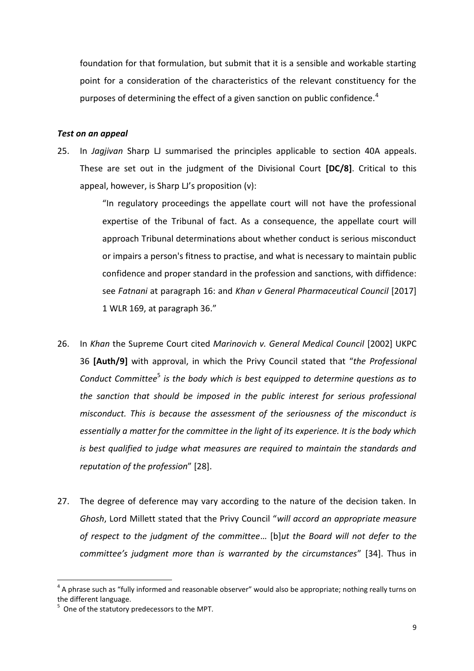foundation for that formulation, but submit that it is a sensible and workable starting point for a consideration of the characteristics of the relevant constituency for the purposes of determining the effect of a given sanction on public confidence.<sup>4</sup>

#### *Test on an appeal*

25. In *Jagjivan* Sharp LJ summarised the principles applicable to section 40A appeals. These are set out in the judgment of the Divisional Court **[DC/8]**. Critical to this appeal, however, is Sharp LJ's proposition (v):

> "In regulatory proceedings the appellate court will not have the professional expertise of the Tribunal of fact. As a consequence, the appellate court will approach Tribunal determinations about whether conduct is serious misconduct or impairs a person's fitness to practise, and what is necessary to maintain public confidence and proper standard in the profession and sanctions, with diffidence: see *Fatnani* at paragraph 16: and *Khan v General Pharmaceutical Council* [2017] 1 WLR 169, at paragraph 36."

- 26. In *Khan* the Supreme Court cited *Marinovich v. General Medical Council* [2002] UKPC 36 **[Auth/9]** with approval, in which the Privy Council stated that "*the Professional*  Conduct Committee<sup>5</sup> is the body which is best equipped to determine questions as to *the sanction that should be imposed in the public interest for serious professional misconduct. This is because the assessment of the seriousness of the misconduct is essentially a matter for the committee in the light of its experience. It is the body which is best qualified to judge what measures are required to maintain the standards and reputation of the profession*" [28].
- 27. The degree of deference may vary according to the nature of the decision taken. In *Ghosh*, Lord Millett stated that the Privy Council "*will accord an appropriate measure of respect to the judgment of the committee*… [b]*ut the Board will not defer to the committee's judgment more than is warranted by the circumstances*" [34]. Thus in

**.** 

 $4$  A phrase such as "fully informed and reasonable observer" would also be appropriate; nothing really turns on the different language.

 $5$  One of the statutory predecessors to the MPT.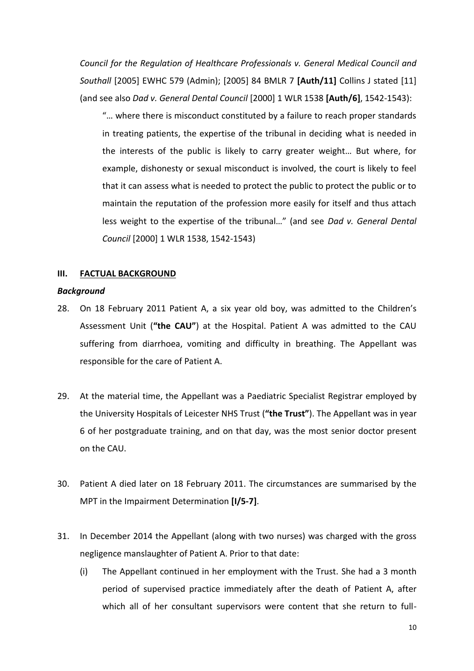*Council for the Regulation of Healthcare Professionals v. General Medical Council and Southall* [2005] EWHC 579 (Admin); [2005] 84 BMLR 7 **[Auth/11]** Collins J stated [11] (and see also *Dad v. General Dental Council* [2000] 1 WLR 1538 **[Auth/6]**, 1542-1543):

"… where there is misconduct constituted by a failure to reach proper standards in treating patients, the expertise of the tribunal in deciding what is needed in the interests of the public is likely to carry greater weight… But where, for example, dishonesty or sexual misconduct is involved, the court is likely to feel that it can assess what is needed to protect the public to protect the public or to maintain the reputation of the profession more easily for itself and thus attach less weight to the expertise of the tribunal…" (and see *Dad v. General Dental Council* [2000] 1 WLR 1538, 1542-1543)

#### **III. FACTUAL BACKGROUND**

#### *Background*

- 28. On 18 February 2011 Patient A, a six year old boy, was admitted to the Children's Assessment Unit (**"the CAU"**) at the Hospital. Patient A was admitted to the CAU suffering from diarrhoea, vomiting and difficulty in breathing. The Appellant was responsible for the care of Patient A.
- 29. At the material time, the Appellant was a Paediatric Specialist Registrar employed by the University Hospitals of Leicester NHS Trust (**"the Trust"**). The Appellant was in year 6 of her postgraduate training, and on that day, was the most senior doctor present on the CAU.
- 30. Patient A died later on 18 February 2011. The circumstances are summarised by the MPT in the Impairment Determination **[I/5-7]**.
- 31. In December 2014 the Appellant (along with two nurses) was charged with the gross negligence manslaughter of Patient A. Prior to that date:
	- (i) The Appellant continued in her employment with the Trust. She had a 3 month period of supervised practice immediately after the death of Patient A, after which all of her consultant supervisors were content that she return to full-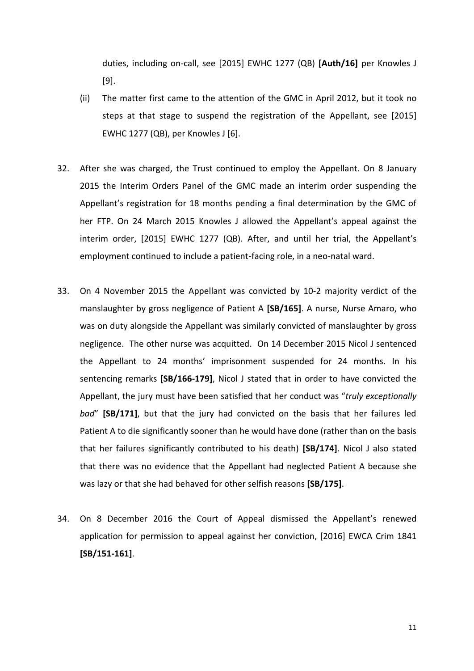duties, including on-call, see [2015] EWHC 1277 (QB) **[Auth/16]** per Knowles J [9].

- (ii) The matter first came to the attention of the GMC in April 2012, but it took no steps at that stage to suspend the registration of the Appellant, see [2015] EWHC 1277 (QB), per Knowles J [6].
- 32. After she was charged, the Trust continued to employ the Appellant. On 8 January 2015 the Interim Orders Panel of the GMC made an interim order suspending the Appellant's registration for 18 months pending a final determination by the GMC of her FTP. On 24 March 2015 Knowles J allowed the Appellant's appeal against the interim order, [2015] EWHC 1277 (QB). After, and until her trial, the Appellant's employment continued to include a patient-facing role, in a neo-natal ward.
- 33. On 4 November 2015 the Appellant was convicted by 10-2 majority verdict of the manslaughter by gross negligence of Patient A **[SB/165]**. A nurse, Nurse Amaro, who was on duty alongside the Appellant was similarly convicted of manslaughter by gross negligence. The other nurse was acquitted. On 14 December 2015 Nicol J sentenced the Appellant to 24 months' imprisonment suspended for 24 months. In his sentencing remarks **[SB/166-179]**, Nicol J stated that in order to have convicted the Appellant, the jury must have been satisfied that her conduct was "*truly exceptionally bad*" **[SB/171]**, but that the jury had convicted on the basis that her failures led Patient A to die significantly sooner than he would have done (rather than on the basis that her failures significantly contributed to his death) **[SB/174]**. Nicol J also stated that there was no evidence that the Appellant had neglected Patient A because she was lazy or that she had behaved for other selfish reasons **[SB/175]**.
- 34. On 8 December 2016 the Court of Appeal dismissed the Appellant's renewed application for permission to appeal against her conviction, [2016] EWCA Crim 1841 **[SB/151-161]**.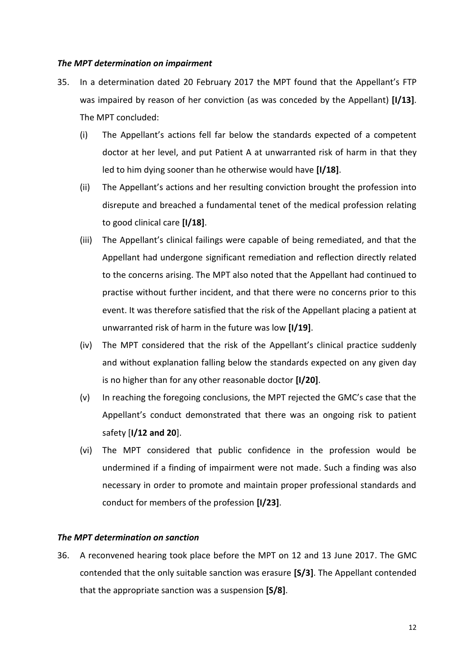#### *The MPT determination on impairment*

- 35. In a determination dated 20 February 2017 the MPT found that the Appellant's FTP was impaired by reason of her conviction (as was conceded by the Appellant) **[I/13]**. The MPT concluded:
	- (i) The Appellant's actions fell far below the standards expected of a competent doctor at her level, and put Patient A at unwarranted risk of harm in that they led to him dying sooner than he otherwise would have **[I/18]**.
	- (ii) The Appellant's actions and her resulting conviction brought the profession into disrepute and breached a fundamental tenet of the medical profession relating to good clinical care **[I/18]**.
	- (iii) The Appellant's clinical failings were capable of being remediated, and that the Appellant had undergone significant remediation and reflection directly related to the concerns arising. The MPT also noted that the Appellant had continued to practise without further incident, and that there were no concerns prior to this event. It was therefore satisfied that the risk of the Appellant placing a patient at unwarranted risk of harm in the future was low **[I/19]**.
	- (iv) The MPT considered that the risk of the Appellant's clinical practice suddenly and without explanation falling below the standards expected on any given day is no higher than for any other reasonable doctor **[I/20]**.
	- (v) In reaching the foregoing conclusions, the MPT rejected the GMC's case that the Appellant's conduct demonstrated that there was an ongoing risk to patient safety [**I/12 and 20**].
	- (vi) The MPT considered that public confidence in the profession would be undermined if a finding of impairment were not made. Such a finding was also necessary in order to promote and maintain proper professional standards and conduct for members of the profession **[I/23]**.

# *The MPT determination on sanction*

36. A reconvened hearing took place before the MPT on 12 and 13 June 2017. The GMC contended that the only suitable sanction was erasure **[S/3]**. The Appellant contended that the appropriate sanction was a suspension **[S/8]**.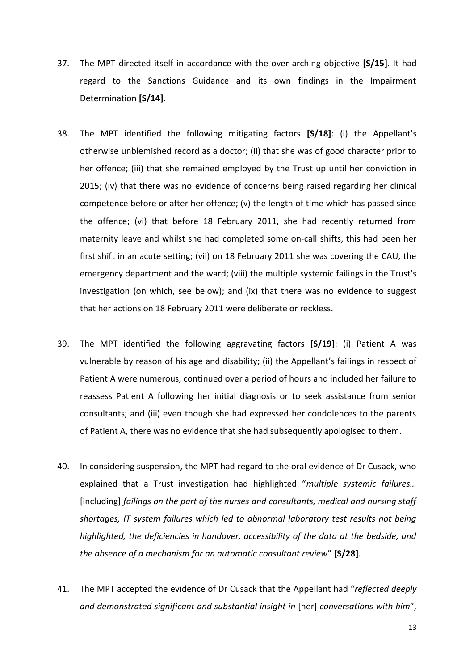- 37. The MPT directed itself in accordance with the over-arching objective **[S/15]**. It had regard to the Sanctions Guidance and its own findings in the Impairment Determination **[S/14]**.
- 38. The MPT identified the following mitigating factors **[S/18]**: (i) the Appellant's otherwise unblemished record as a doctor; (ii) that she was of good character prior to her offence; (iii) that she remained employed by the Trust up until her conviction in 2015; (iv) that there was no evidence of concerns being raised regarding her clinical competence before or after her offence; (v) the length of time which has passed since the offence; (vi) that before 18 February 2011, she had recently returned from maternity leave and whilst she had completed some on-call shifts, this had been her first shift in an acute setting; (vii) on 18 February 2011 she was covering the CAU, the emergency department and the ward; (viii) the multiple systemic failings in the Trust's investigation (on which, see below); and (ix) that there was no evidence to suggest that her actions on 18 February 2011 were deliberate or reckless.
- 39. The MPT identified the following aggravating factors **[S/19]**: (i) Patient A was vulnerable by reason of his age and disability; (ii) the Appellant's failings in respect of Patient A were numerous, continued over a period of hours and included her failure to reassess Patient A following her initial diagnosis or to seek assistance from senior consultants; and (iii) even though she had expressed her condolences to the parents of Patient A, there was no evidence that she had subsequently apologised to them.
- 40. In considering suspension, the MPT had regard to the oral evidence of Dr Cusack, who explained that a Trust investigation had highlighted "*multiple systemic failures…* [including] *failings on the part of the nurses and consultants, medical and nursing staff shortages, IT system failures which led to abnormal laboratory test results not being highlighted, the deficiencies in handover, accessibility of the data at the bedside, and the absence of a mechanism for an automatic consultant review*" **[S/28]**.
- 41. The MPT accepted the evidence of Dr Cusack that the Appellant had "*reflected deeply and demonstrated significant and substantial insight in* [her] *conversations with him*",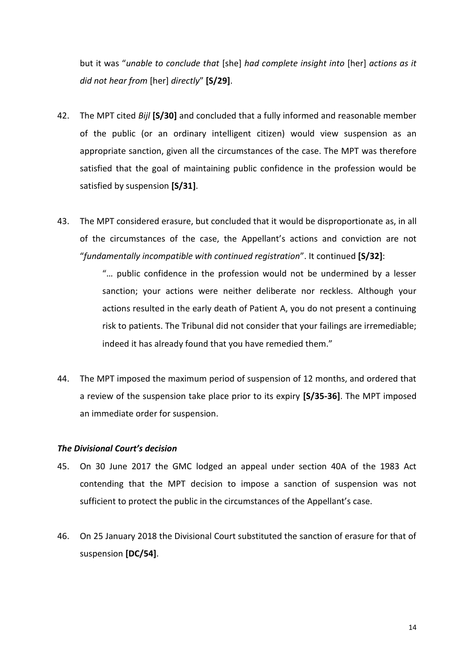but it was "*unable to conclude that* [she] *had complete insight into* [her] *actions as it did not hear from* [her] *directly*" **[S/29]**.

- 42. The MPT cited *Bijl* **[S/30]** and concluded that a fully informed and reasonable member of the public (or an ordinary intelligent citizen) would view suspension as an appropriate sanction, given all the circumstances of the case. The MPT was therefore satisfied that the goal of maintaining public confidence in the profession would be satisfied by suspension **[S/31]**.
- 43. The MPT considered erasure, but concluded that it would be disproportionate as, in all of the circumstances of the case, the Appellant's actions and conviction are not "*fundamentally incompatible with continued registration*". It continued **[S/32]**:

"… public confidence in the profession would not be undermined by a lesser sanction; your actions were neither deliberate nor reckless. Although your actions resulted in the early death of Patient A, you do not present a continuing risk to patients. The Tribunal did not consider that your failings are irremediable; indeed it has already found that you have remedied them."

44. The MPT imposed the maximum period of suspension of 12 months, and ordered that a review of the suspension take place prior to its expiry **[S/35-36]**. The MPT imposed an immediate order for suspension.

#### *The Divisional Court's decision*

- 45. On 30 June 2017 the GMC lodged an appeal under section 40A of the 1983 Act contending that the MPT decision to impose a sanction of suspension was not sufficient to protect the public in the circumstances of the Appellant's case.
- 46. On 25 January 2018 the Divisional Court substituted the sanction of erasure for that of suspension **[DC/54]**.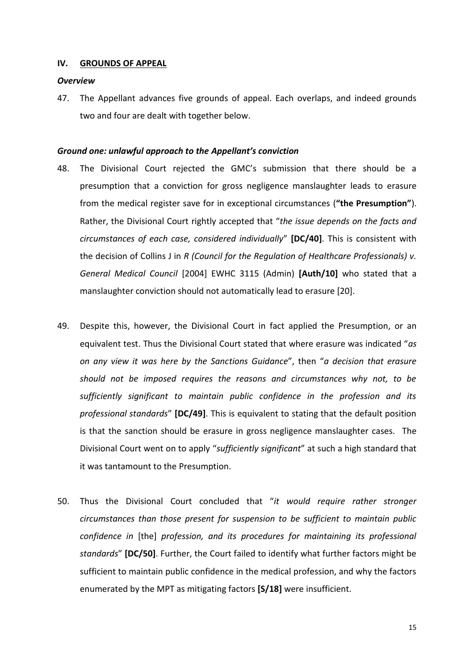#### **IV. GROUNDS OF APPEAL**

#### *Overview*

47. The Appellant advances five grounds of appeal. Each overlaps, and indeed grounds two and four are dealt with together below.

#### *Ground one: unlawful approach to the Appellant's conviction*

- 48. The Divisional Court rejected the GMC's submission that there should be a presumption that a conviction for gross negligence manslaughter leads to erasure from the medical register save for in exceptional circumstances (**"the Presumption"**). Rather, the Divisional Court rightly accepted that "*the issue depends on the facts and circumstances of each case, considered individually*" **[DC/40]**. This is consistent with the decision of Collins J in *R (Council for the Regulation of Healthcare Professionals) v. General Medical Council* [2004] EWHC 3115 (Admin) **[Auth/10]** who stated that a manslaughter conviction should not automatically lead to erasure [20].
- 49. Despite this, however, the Divisional Court in fact applied the Presumption, or an equivalent test. Thus the Divisional Court stated that where erasure was indicated "*as on any view it was here by the Sanctions Guidance*", then "*a decision that erasure should not be imposed requires the reasons and circumstances why not, to be sufficiently significant to maintain public confidence in the profession and its professional standards*" **[DC/49]**. This is equivalent to stating that the default position is that the sanction should be erasure in gross negligence manslaughter cases. The Divisional Court went on to apply "*sufficiently significant*" at such a high standard that it was tantamount to the Presumption.
- 50. Thus the Divisional Court concluded that "*it would require rather stronger circumstances than those present for suspension to be sufficient to maintain public confidence in* [the] *profession, and its procedures for maintaining its professional standards*" **[DC/50]**. Further, the Court failed to identify what further factors might be sufficient to maintain public confidence in the medical profession, and why the factors enumerated by the MPT as mitigating factors **[S/18]** were insufficient.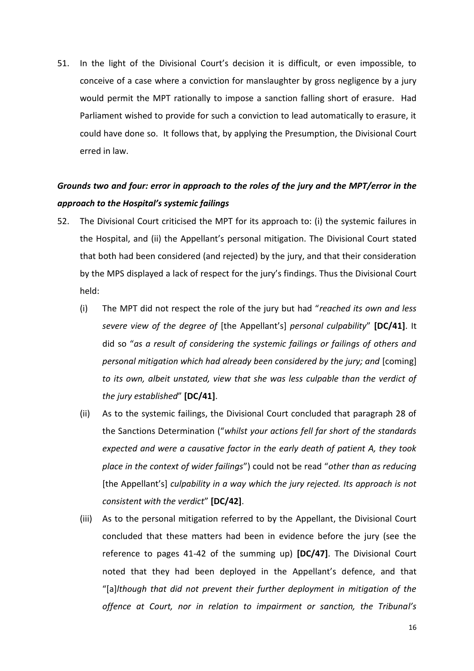51. In the light of the Divisional Court's decision it is difficult, or even impossible, to conceive of a case where a conviction for manslaughter by gross negligence by a jury would permit the MPT rationally to impose a sanction falling short of erasure. Had Parliament wished to provide for such a conviction to lead automatically to erasure, it could have done so. It follows that, by applying the Presumption, the Divisional Court erred in law.

# *Grounds two and four: error in approach to the roles of the jury and the MPT/error in the approach to the Hospital's systemic failings*

- 52. The Divisional Court criticised the MPT for its approach to: (i) the systemic failures in the Hospital, and (ii) the Appellant's personal mitigation. The Divisional Court stated that both had been considered (and rejected) by the jury, and that their consideration by the MPS displayed a lack of respect for the jury's findings. Thus the Divisional Court held:
	- (i) The MPT did not respect the role of the jury but had "*reached its own and less severe view of the degree of* [the Appellant's] *personal culpability*" **[DC/41]**. It did so "*as a result of considering the systemic failings or failings of others and personal mitigation which had already been considered by the jury; and* [coming] *to its own, albeit unstated, view that she was less culpable than the verdict of the jury established*" **[DC/41]**.
	- (ii) As to the systemic failings, the Divisional Court concluded that paragraph 28 of the Sanctions Determination ("*whilst your actions fell far short of the standards expected and were a causative factor in the early death of patient A, they took place in the context of wider failings*") could not be read "*other than as reducing* [the Appellant's] *culpability in a way which the jury rejected. Its approach is not consistent with the verdict*" **[DC/42]**.
	- (iii) As to the personal mitigation referred to by the Appellant, the Divisional Court concluded that these matters had been in evidence before the jury (see the reference to pages 41-42 of the summing up) **[DC/47]**. The Divisional Court noted that they had been deployed in the Appellant's defence, and that "[a]*lthough that did not prevent their further deployment in mitigation of the offence at Court, nor in relation to impairment or sanction, the Tribunal's*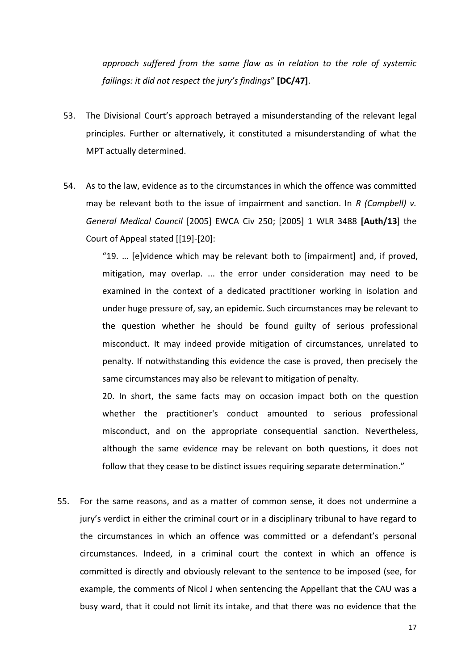*approach suffered from the same flaw as in relation to the role of systemic failings: it did not respect the jury's findings*" **[DC/47]**.

- 53. The Divisional Court's approach betrayed a misunderstanding of the relevant legal principles. Further or alternatively, it constituted a misunderstanding of what the MPT actually determined.
- 54. As to the law, evidence as to the circumstances in which the offence was committed may be relevant both to the issue of impairment and sanction. In *R (Campbell) v. General Medical Council* [2005] EWCA Civ 250; [2005] 1 WLR 3488 **[Auth/13**] the Court of Appeal stated [[19]-[20]:

"19. … [e]vidence which may be relevant both to [impairment] and, if proved, mitigation, may overlap. ... the error under consideration may need to be examined in the context of a dedicated practitioner working in isolation and under huge pressure of, say, an epidemic. Such circumstances may be relevant to the question whether he should be found guilty of serious professional misconduct. It may indeed provide mitigation of circumstances, unrelated to penalty. If notwithstanding this evidence the case is proved, then precisely the same circumstances may also be relevant to mitigation of penalty.

20. In short, the same facts may on occasion impact both on the question whether the practitioner's conduct amounted to serious professional misconduct, and on the appropriate consequential sanction. Nevertheless, although the same evidence may be relevant on both questions, it does not follow that they cease to be distinct issues requiring separate determination."

55. For the same reasons, and as a matter of common sense, it does not undermine a jury's verdict in either the criminal court or in a disciplinary tribunal to have regard to the circumstances in which an offence was committed or a defendant's personal circumstances. Indeed, in a criminal court the context in which an offence is committed is directly and obviously relevant to the sentence to be imposed (see, for example, the comments of Nicol J when sentencing the Appellant that the CAU was a busy ward, that it could not limit its intake, and that there was no evidence that the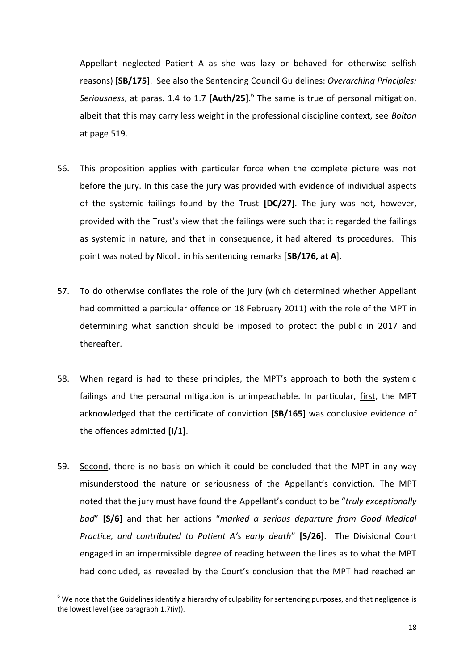Appellant neglected Patient A as she was lazy or behaved for otherwise selfish reasons) **[SB/175]**. See also the Sentencing Council Guidelines: *Overarching Principles: Seriousness*, at paras. 1.4 to 1.7 **[Auth/25]**. 6 The same is true of personal mitigation, albeit that this may carry less weight in the professional discipline context, see *Bolton* at page 519.

- 56. This proposition applies with particular force when the complete picture was not before the jury. In this case the jury was provided with evidence of individual aspects of the systemic failings found by the Trust **[DC/27]**. The jury was not, however, provided with the Trust's view that the failings were such that it regarded the failings as systemic in nature, and that in consequence, it had altered its procedures. This point was noted by Nicol J in his sentencing remarks [**SB/176, at A**].
- 57. To do otherwise conflates the role of the jury (which determined whether Appellant had committed a particular offence on 18 February 2011) with the role of the MPT in determining what sanction should be imposed to protect the public in 2017 and thereafter.
- 58. When regard is had to these principles, the MPT's approach to both the systemic failings and the personal mitigation is unimpeachable. In particular, first, the MPT acknowledged that the certificate of conviction **[SB/165]** was conclusive evidence of the offences admitted **[I/1]**.
- 59. Second, there is no basis on which it could be concluded that the MPT in any way misunderstood the nature or seriousness of the Appellant's conviction. The MPT noted that the jury must have found the Appellant's conduct to be "*truly exceptionally bad*" **[S/6]** and that her actions "*marked a serious departure from Good Medical Practice, and contributed to Patient A's early death*" **[S/26]**. The Divisional Court engaged in an impermissible degree of reading between the lines as to what the MPT had concluded, as revealed by the Court's conclusion that the MPT had reached an

**.** 

 $6$  We note that the Guidelines identify a hierarchy of culpability for sentencing purposes, and that negligence is the lowest level (see paragraph 1.7(iv)).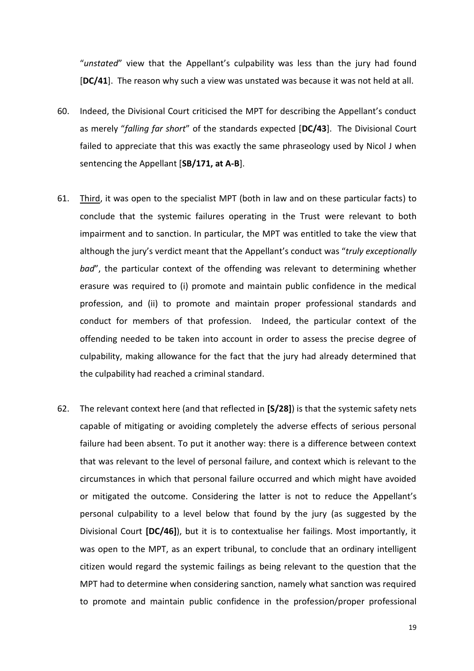"*unstated*" view that the Appellant's culpability was less than the jury had found [**DC/41**]. The reason why such a view was unstated was because it was not held at all.

- 60. Indeed, the Divisional Court criticised the MPT for describing the Appellant's conduct as merely "*falling far short*" of the standards expected [**DC/43**]. The Divisional Court failed to appreciate that this was exactly the same phraseology used by Nicol J when sentencing the Appellant [**SB/171, at A-B**].
- 61. Third, it was open to the specialist MPT (both in law and on these particular facts) to conclude that the systemic failures operating in the Trust were relevant to both impairment and to sanction. In particular, the MPT was entitled to take the view that although the jury's verdict meant that the Appellant's conduct was "*truly exceptionally bad*", the particular context of the offending was relevant to determining whether erasure was required to (i) promote and maintain public confidence in the medical profession, and (ii) to promote and maintain proper professional standards and conduct for members of that profession. Indeed, the particular context of the offending needed to be taken into account in order to assess the precise degree of culpability, making allowance for the fact that the jury had already determined that the culpability had reached a criminal standard.
- 62. The relevant context here (and that reflected in **[S/28]**) is that the systemic safety nets capable of mitigating or avoiding completely the adverse effects of serious personal failure had been absent. To put it another way: there is a difference between context that was relevant to the level of personal failure, and context which is relevant to the circumstances in which that personal failure occurred and which might have avoided or mitigated the outcome. Considering the latter is not to reduce the Appellant's personal culpability to a level below that found by the jury (as suggested by the Divisional Court **[DC/46]**), but it is to contextualise her failings. Most importantly, it was open to the MPT, as an expert tribunal, to conclude that an ordinary intelligent citizen would regard the systemic failings as being relevant to the question that the MPT had to determine when considering sanction, namely what sanction was required to promote and maintain public confidence in the profession/proper professional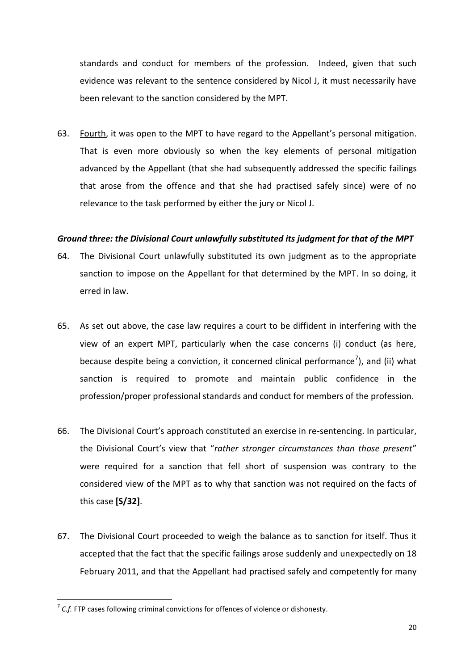standards and conduct for members of the profession. Indeed, given that such evidence was relevant to the sentence considered by Nicol J, it must necessarily have been relevant to the sanction considered by the MPT.

63. Fourth, it was open to the MPT to have regard to the Appellant's personal mitigation. That is even more obviously so when the key elements of personal mitigation advanced by the Appellant (that she had subsequently addressed the specific failings that arose from the offence and that she had practised safely since) were of no relevance to the task performed by either the jury or Nicol J.

### *Ground three: the Divisional Court unlawfully substituted its judgment for that of the MPT*

- 64. The Divisional Court unlawfully substituted its own judgment as to the appropriate sanction to impose on the Appellant for that determined by the MPT. In so doing, it erred in law.
- 65. As set out above, the case law requires a court to be diffident in interfering with the view of an expert MPT, particularly when the case concerns (i) conduct (as here, because despite being a conviction, it concerned clinical performance<sup>7</sup>), and (ii) what sanction is required to promote and maintain public confidence in the profession/proper professional standards and conduct for members of the profession.
- 66. The Divisional Court's approach constituted an exercise in re-sentencing. In particular, the Divisional Court's view that "*rather stronger circumstances than those present*" were required for a sanction that fell short of suspension was contrary to the considered view of the MPT as to why that sanction was not required on the facts of this case **[S/32]**.
- 67. The Divisional Court proceeded to weigh the balance as to sanction for itself. Thus it accepted that the fact that the specific failings arose suddenly and unexpectedly on 18 February 2011, and that the Appellant had practised safely and competently for many

 7 *C.f.* FTP cases following criminal convictions for offences of violence or dishonesty.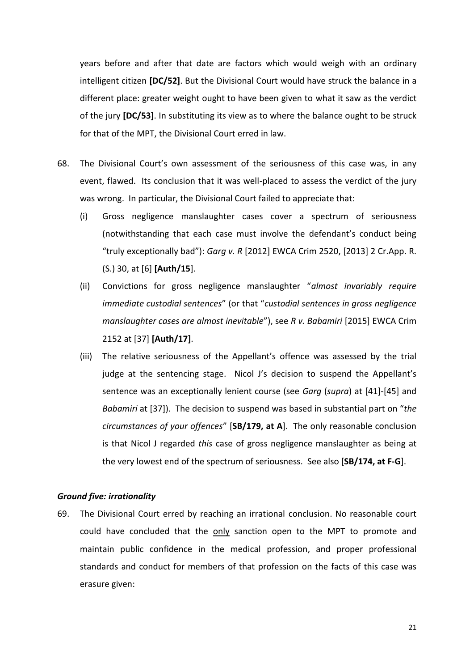years before and after that date are factors which would weigh with an ordinary intelligent citizen **[DC/52]**. But the Divisional Court would have struck the balance in a different place: greater weight ought to have been given to what it saw as the verdict of the jury **[DC/53]**. In substituting its view as to where the balance ought to be struck for that of the MPT, the Divisional Court erred in law.

- 68. The Divisional Court's own assessment of the seriousness of this case was, in any event, flawed. Its conclusion that it was well-placed to assess the verdict of the jury was wrong. In particular, the Divisional Court failed to appreciate that:
	- (i) Gross negligence manslaughter cases cover a spectrum of seriousness (notwithstanding that each case must involve the defendant's conduct being "truly exceptionally bad"): *Garg v. R* [2012] EWCA Crim 2520, [2013] 2 Cr.App. R. (S.) 30, at [6] **[Auth/15**].
	- (ii) Convictions for gross negligence manslaughter "*almost invariably require immediate custodial sentences*" (or that "*custodial sentences in gross negligence manslaughter cases are almost inevitable*"), see *R v. Babamiri* [2015] EWCA Crim 2152 at [37] **[Auth/17]**.
	- (iii) The relative seriousness of the Appellant's offence was assessed by the trial judge at the sentencing stage. Nicol J's decision to suspend the Appellant's sentence was an exceptionally lenient course (see *Garg* (*supra*) at [41]-[45] and *Babamiri* at [37]). The decision to suspend was based in substantial part on "*the circumstances of your offences*" [**SB/179, at A**]. The only reasonable conclusion is that Nicol J regarded *this* case of gross negligence manslaughter as being at the very lowest end of the spectrum of seriousness. See also [**SB/174, at F-G**].

### *Ground five: irrationality*

69. The Divisional Court erred by reaching an irrational conclusion. No reasonable court could have concluded that the only sanction open to the MPT to promote and maintain public confidence in the medical profession, and proper professional standards and conduct for members of that profession on the facts of this case was erasure given: